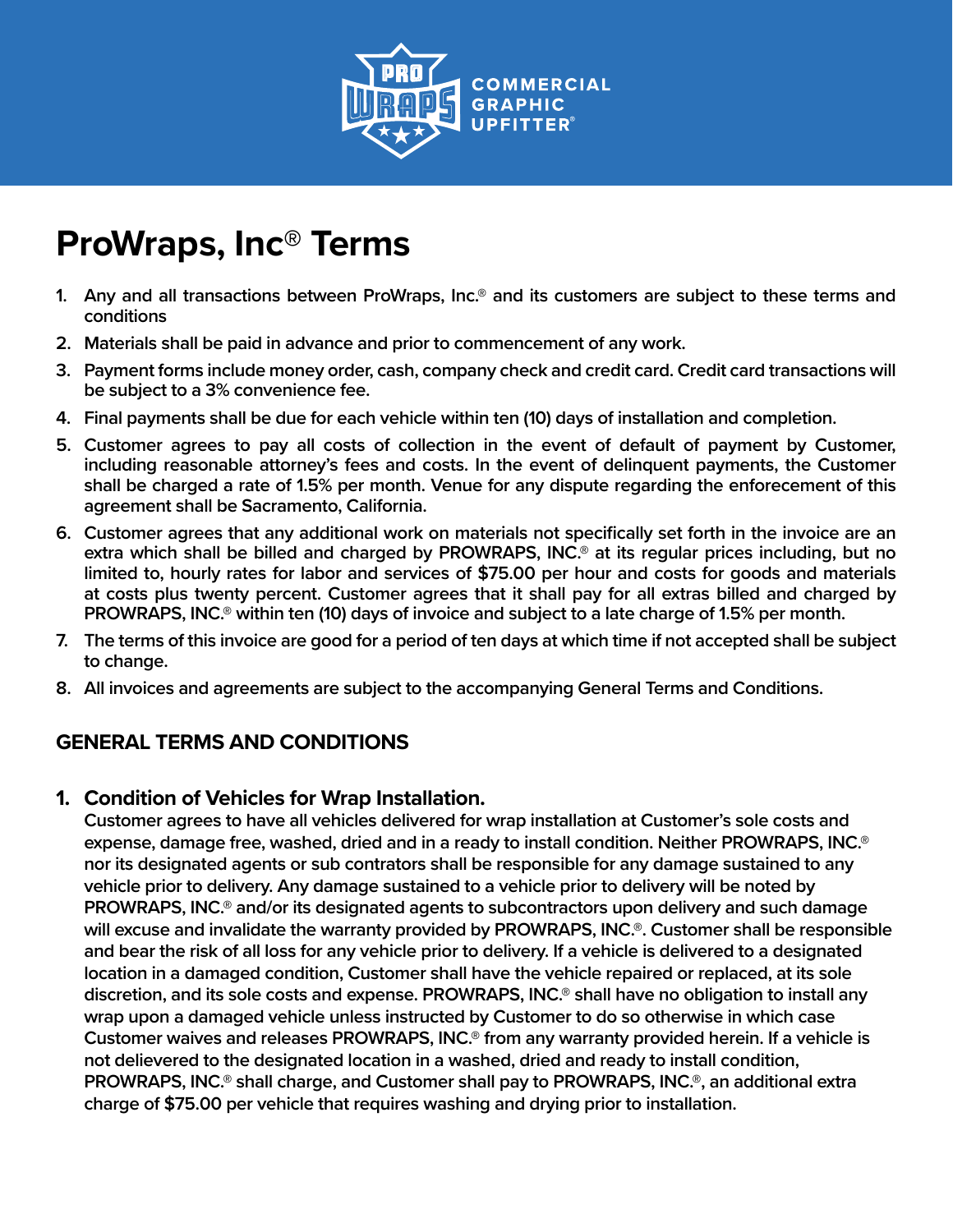

# **ProWraps, Inc® Terms**

- **1. Any and all transactions between ProWraps, Inc.® and its customers are subject to these terms and conditions**
- **2. Materials shall be paid in advance and prior to commencement of any work.**
- **3. Payment forms include money order, cash, company check and credit card. Credit card transactions will be subject to a 3% convenience fee.**
- **4. Final payments shall be due for each vehicle within ten (10) days of installation and completion.**
- **5. Customer agrees to pay all costs of collection in the event of default of payment by Customer, including reasonable attorney's fees and costs. In the event of delinquent payments, the Customer shall be charged a rate of 1.5% per month. Venue for any dispute regarding the enforecement of this agreement shall be Sacramento, California.**
- **6. Customer agrees that any additional work on materials not specifically set forth in the invoice are an extra which shall be billed and charged by PROWRAPS, INC.® at its regular prices including, but no limited to, hourly rates for labor and services of \$75.00 per hour and costs for goods and materials at costs plus twenty percent. Customer agrees that it shall pay for all extras billed and charged by PROWRAPS, INC.® within ten (10) days of invoice and subject to a late charge of 1.5% per month.**
- **7. The terms of this invoice are good for a period of ten days at which time if not accepted shall be subject to change.**
- **8. All invoices and agreements are subject to the accompanying General Terms and Conditions.**

## **GENERAL TERMS AND CONDITIONS**

### **1. Condition of Vehicles for Wrap Installation.**

**Customer agrees to have all vehicles delivered for wrap installation at Customer's sole costs and expense, damage free, washed, dried and in a ready to install condition. Neither PROWRAPS, INC.® nor its designated agents or sub contrators shall be responsible for any damage sustained to any vehicle prior to delivery. Any damage sustained to a vehicle prior to delivery will be noted by PROWRAPS, INC.® and/or its designated agents to subcontractors upon delivery and such damage will excuse and invalidate the warranty provided by PROWRAPS, INC.®. Customer shall be responsible and bear the risk of all loss for any vehicle prior to delivery. If a vehicle is delivered to a designated location in a damaged condition, Customer shall have the vehicle repaired or replaced, at its sole discretion, and its sole costs and expense. PROWRAPS, INC.® shall have no obligation to install any wrap upon a damaged vehicle unless instructed by Customer to do so otherwise in which case Customer waives and releases PROWRAPS, INC.® from any warranty provided herein. If a vehicle is not delievered to the designated location in a washed, dried and ready to install condition, PROWRAPS, INC.® shall charge, and Customer shall pay to PROWRAPS, INC.®, an additional extra charge of \$75.00 per vehicle that requires washing and drying prior to installation.**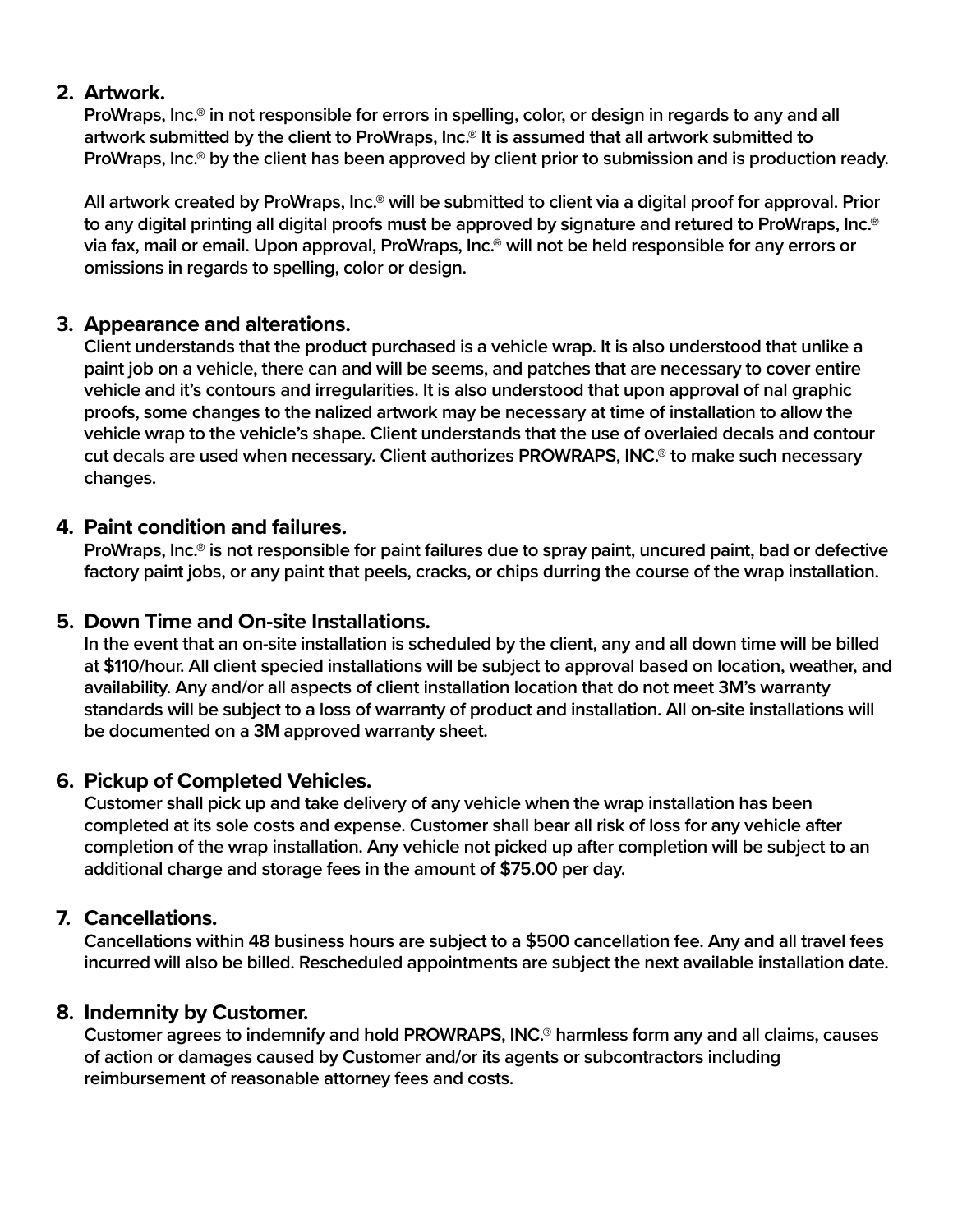### **2. Artwork.**

**ProWraps, Inc.® in not responsible for errors in spelling, color, or design in regards to any and all artwork submitted by the client to ProWraps, Inc.® It is assumed that all artwork submitted to ProWraps, Inc.® by the client has been approved by client prior to submission and is production ready.**

**All artwork created by ProWraps, Inc.® will be submitted to client via a digital proof for approval. Prior to any digital printing all digital proofs must be approved by signature and retured to ProWraps, Inc.® via fax, mail or email. Upon approval, ProWraps, Inc.® will not be held responsible for any errors or omissions in regards to spelling, color or design.**

## **3. Appearance and alterations.**

**Client understands that the product purchased is a vehicle wrap. It is also understood that unlike a paint job on a vehicle, there can and will be seems, and patches that are necessary to cover entire vehicle and it's contours and irregularities. It is also understood that upon approval of nal graphic proofs, some changes to the nalized artwork may be necessary at time of installation to allow the vehicle wrap to the vehicle's shape. Client understands that the use of overlaied decals and contour cut decals are used when necessary. Client authorizes PROWRAPS, INC.® to make such necessary changes.**

## **4. Paint condition and failures.**

**ProWraps, Inc.® is not responsible for paint failures due to spray paint, uncured paint, bad or defective factory paint jobs, or any paint that peels, cracks, or chips durring the course of the wrap installation.**

## **5. Down Time and On-site Installations.**

**In the event that an on-site installation is scheduled by the client, any and all down time will be billed at \$110/hour. All client specied installations will be subject to approval based on location, weather, and availability. Any and/or all aspects of client installation location that do not meet 3M's warranty standards will be subject to a loss of warranty of product and installation. All on-site installations will be documented on a 3M approved warranty sheet.**

## **6. Pickup of Completed Vehicles.**

**Customer shall pick up and take delivery of any vehicle when the wrap installation has been completed at its sole costs and expense. Customer shall bear all risk of loss for any vehicle after completion of the wrap installation. Any vehicle not picked up after completion will be subject to an additional charge and storage fees in the amount of \$75.00 per day.**

## **7. Cancellations.**

**Cancellations within 48 business hours are subject to a \$500 cancellation fee. Any and all travel fees incurred will also be billed. Rescheduled appointments are subject the next available installation date.**

## **8. Indemnity by Customer.**

**Customer agrees to indemnify and hold PROWRAPS, INC.® harmless form any and all claims, causes of action or damages caused by Customer and/or its agents or subcontractors including reimbursement of reasonable attorney fees and costs.**